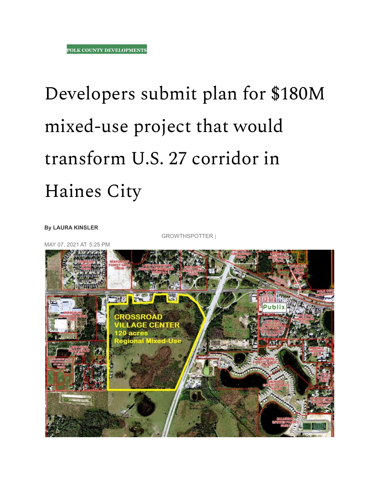## Developers submit plan for \$180M mixed-use project that would transform U.S. 27 corridor in Haines City

**By [LAURA KINSLER](https://www.growthspotter.com/grs-laura-kinsler-bio-20150910-staff.html#nt=byline)**

GROWTHSPOTTER |

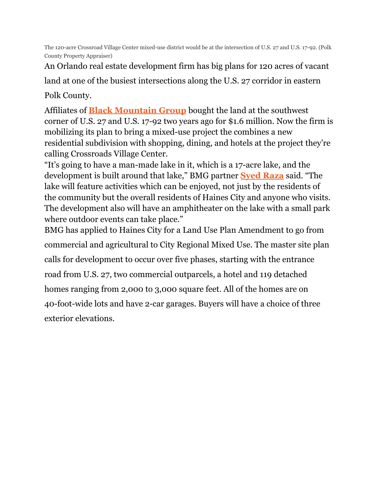The 120-acre Crossroad Village Center mixed-use district would be at the intersection of U.S. 27 and U.S. 17-92. (Polk County Property Appraiser)

An Orlando real estate development firm has big plans for 120 acres of vacant

land at one of the busiest intersections along the U.S. 27 corridor in eastern

Polk County.

Affiliates of **[Black Mountain Group](https://blackmgroup.com/)** bought the land at the southwest corner of U.S. 27 and U.S. 17-92 two years ago for \$1.6 million. Now the firm is mobilizing its plan to bring a mixed-use project the combines a new residential subdivision with shopping, dining, and hotels at the project they're calling Crossroads Village Center.

"It's going to have a man-made lake in it, which is a 17-acre lake, and the development is built around that lake," BMG partner **[Syed Raza](https://amradvisory.com/about-us/syed-raza/)** said. "The lake will feature activities which can be enjoyed, not just by the residents of the community but the overall residents of Haines City and anyone who visits. The development also will have an amphitheater on the lake with a small park where outdoor events can take place."

BMG has applied to Haines City for a Land Use Plan Amendment to go from commercial and agricultural to City Regional Mixed Use. The master site plan calls for development to occur over five phases, starting with the entrance road from U.S. 27, two commercial outparcels, a hotel and 119 detached homes ranging from 2,000 to 3,000 square feet. All of the homes are on 40-foot-wide lots and have 2-car garages. Buyers will have a choice of three exterior elevations.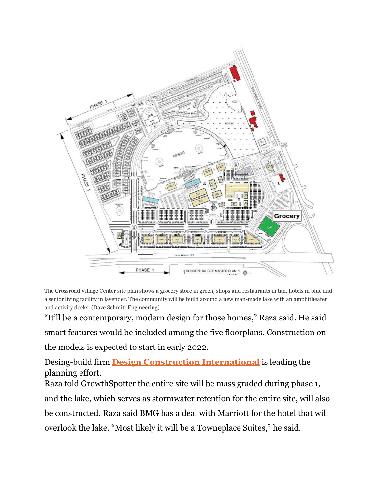

The Crossroad Village Center site plan shows a grocery store in green, shops and restaurants in tan, hotels in blue and a senior living facility in lavender. The community will be build around a new man-made lake with an amphitheater and activity docks. (Dave Schmitt Engineering)

"It'll be a contemporary, modern design for those homes," Raza said. He said smart features would be included among the five floorplans. Construction on

the models is expected to start in early 2022.

Desing-build firm **[Design Construction International](https://www.facebook.com/UrbanDesignDevelopment/)** is leading the planning effort.

Raza told GrowthSpotter the entire site will be mass graded during phase 1,

and the lake, which serves as stormwater retention for the entire site, will also be constructed. Raza said BMG has a deal with Marriott for the hotel that will overlook the lake. "Most likely it will be a Towneplace Suites," he said.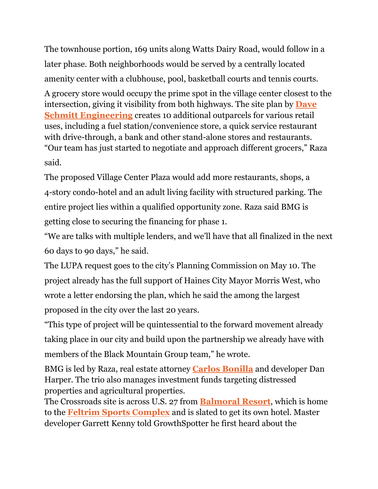The townhouse portion, 169 units along Watts Dairy Road, would follow in a later phase. Both neighborhoods would be served by a centrally located amenity center with a clubhouse, pool, basketball courts and tennis courts.

A grocery store would occupy the prime spot in the village center closest to the intersection, giving it visibility from both highways. The site plan by **[Dave](https://www.dseorl.com/) [Schmitt Engineering](https://www.dseorl.com/)** creates 10 additional outparcels for various retail uses, including a fuel station/convenience store, a quick service restaurant with drive-through, a bank and other stand-alone stores and restaurants. "Our team has just started to negotiate and approach different grocers," Raza said.

The proposed Village Center Plaza would add more restaurants, shops, a 4-story condo-hotel and an adult living facility with structured parking. The entire project lies within a qualified opportunity zone. Raza said BMG is getting close to securing the financing for phase 1.

"We are talks with multiple lenders, and we'll have that all finalized in the next 60 days to 90 days," he said.

The LUPA request goes to the city's Planning Commission on May 10. The project already has the full support of Haines City Mayor Morris West, who wrote a letter endorsing the plan, which he said the among the largest proposed in the city over the last 20 years.

"This type of project will be quintessential to the forward movement already taking place in our city and build upon the partnership we already have with members of the Black Mountain Group team," he wrote.

BMG is led by Raza, real estate attorney **[Carlos Bonilla](https://elpglobal.com/about/)** and developer Dan Harper. The trio also manages investment funds targeting distressed properties and agricultural properties.

The Crossroads site is across U.S. 27 from **[Balmoral](https://www.growthspotter.com/news/polk-county-developments/gs-feltrim-to-build-hotel-and-banquet-center-at-balmoral-resort-in-haines-city-20180803-story.html) Resort**, which is home to the **[Feltrim Sports Complex](https://www.feltrimsports.com/)** and is slated to get its own hotel. Master developer Garrett Kenny told GrowthSpotter he first heard about the